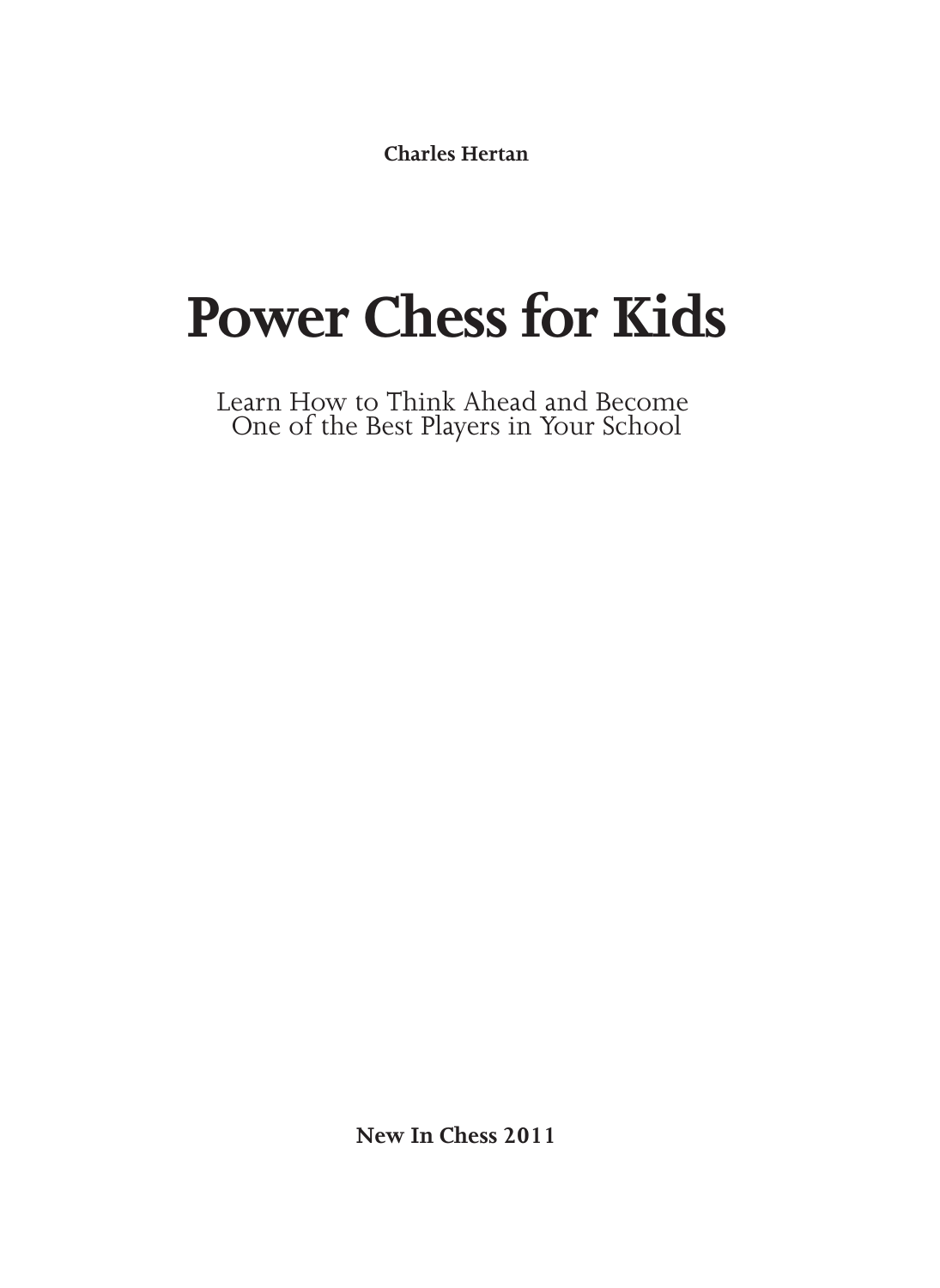**Charles Hertan**

# **Power Chess for Kids**

Learn How to Think Ahead and Become One of the Best Players in Your School

**New In Chess 2011**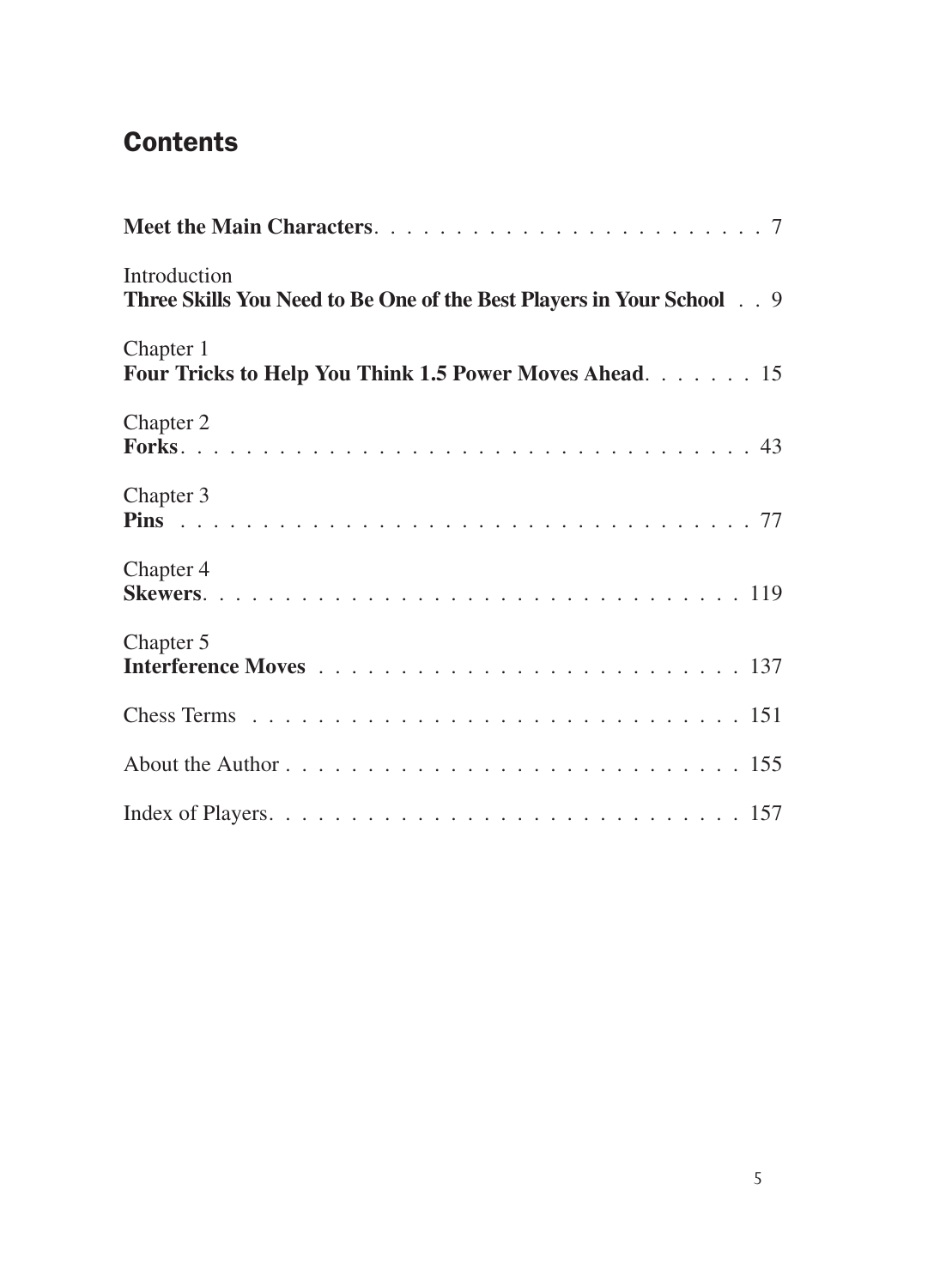## **Contents**

| Introduction<br>Three Skills You Need to Be One of the Best Players in Your School 9 |
|--------------------------------------------------------------------------------------|
| Chapter 1<br>Four Tricks to Help You Think 1.5 Power Moves Ahead. 15                 |
| Chapter 2                                                                            |
| Chapter 3                                                                            |
| Chapter 4                                                                            |
| Chapter 5                                                                            |
|                                                                                      |
|                                                                                      |
|                                                                                      |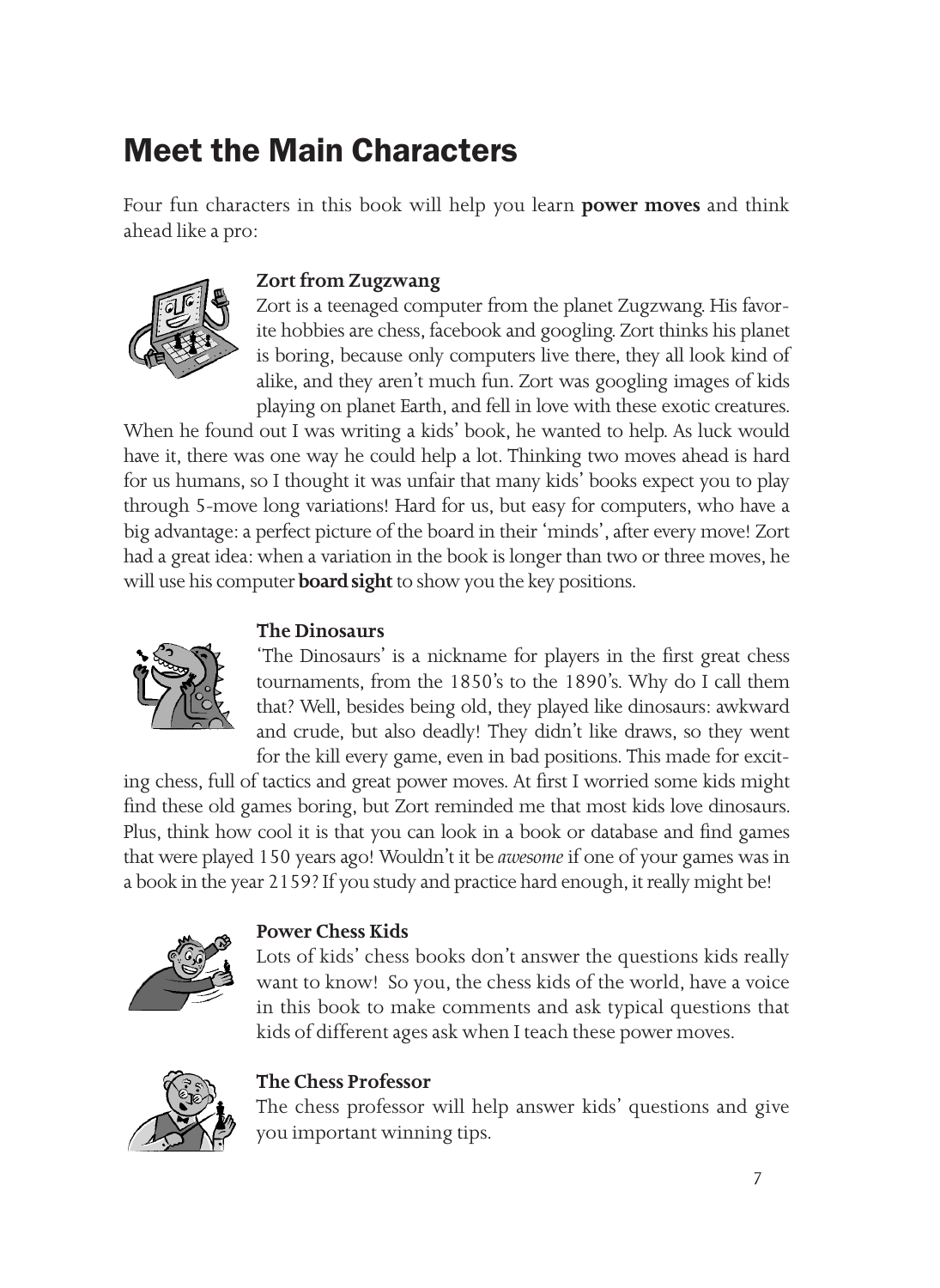# **Meet the Main Characters**

Four fun characters in this book will help you learn **power moves** and think ahead like a pro:



#### **Zort from Zugzwang**

Zort is a teenaged computer from the planet Zugzwang. His favorite hobbies are chess, facebook and googling. Zort thinks his planet is boring, because only computers live there, they all look kind of alike, and they aren't much fun. Zort was googling images of kids playing on planet Earth, and fell in love with these exotic creatures.

When he found out I was writing a kids' book, he wanted to help. As luck would have it, there was one way he could help a lot. Thinking two moves ahead is hard for us humans, so I thought it was unfair that many kids' books expect you to play through 5-move long variations! Hard for us, but easy for computers, who have a big advantage: a perfect picture of the board in their 'minds', after every move! Zort had a great idea: when a variation in the book is longer than two or three moves, he will use his computer **board sight** to show you the key positions.



#### **The Di no saurs**

'The Dinosaurs' is a nickname for players in the first great chess tourna ments, from the 1850's to the 1890's. Why do I call them that? Well, besides being old, they played like dinosaurs: awkward and crude, but also deadly! They didn't like draws, so they went for the kill every game, even in bad positions. This made for excit-

ing chess, full of tactics and great power moves. At first I worried some kids might find these old games boring, but Zort reminded me that most kids love dinosaurs. Plus, think how cool it is that you can look in a book or database and find games that were played 150 years ago! Wouldn't it be *awe some* if one of your games was in a book in the year 2159? If you study and practice hard enough, it really might be!



#### **Power Chess Kids**

Lots of kids' chess books don't answer the questions kids really want to know! So you, the chess kids of the world, have a voice in this book to make comments and ask typical questions that kids of different ages ask when I teach these power moves.



#### **The Chess Professor**

The chess professor will help answer kids' questions and give you important winning tips.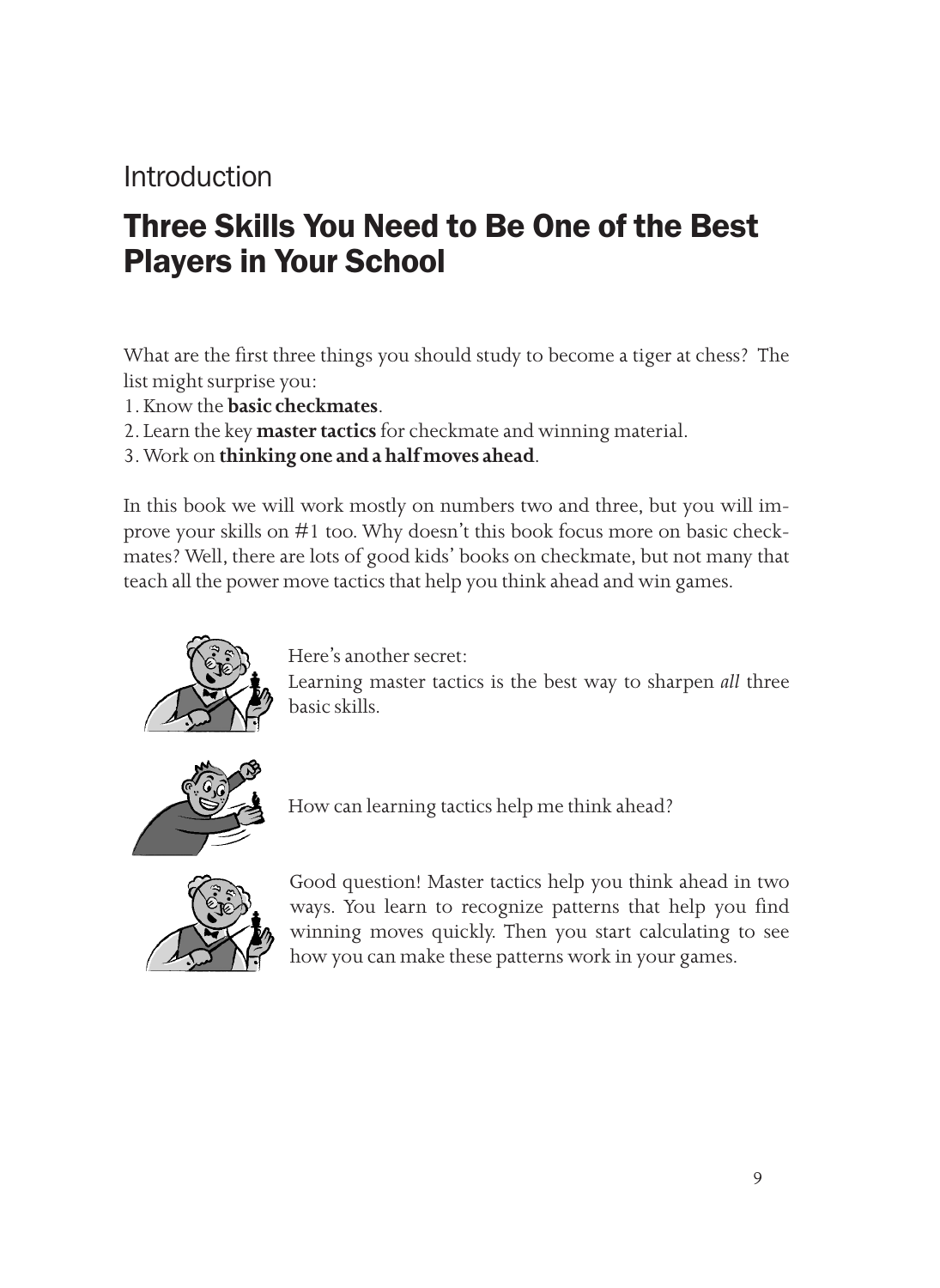## Introduction

# Three Skills You Need to Be One of the Best **Players in Your School**

What are the first three things you should study to become a tiger at chess? The list might surprise you:

- 1. Know the **basic checkmates**.
- 2. Learn the key **master tactics** for checkmate and winning material.
- 3. Work on **think ing one and a half moves ahead**.

In this book we will work mostly on numbers two and three, but you will improve your skills on #1 too. Why doesn't this book focus more on basic checkmates? Well, there are lots of good kids' books on check mate, but not many that teach all the power move tactics that help you think ahead and win games.



Here's another secret:

Learning master tactics is the best way to sharpen *all* three ba sic skills.



How can learning tactics help me think ahead?



Good question! Master tactics help you think ahead in two ways. You learn to recognize patterns that help you find winning moves quickly. Then you start calculating to see how you can make these patterns work in your games.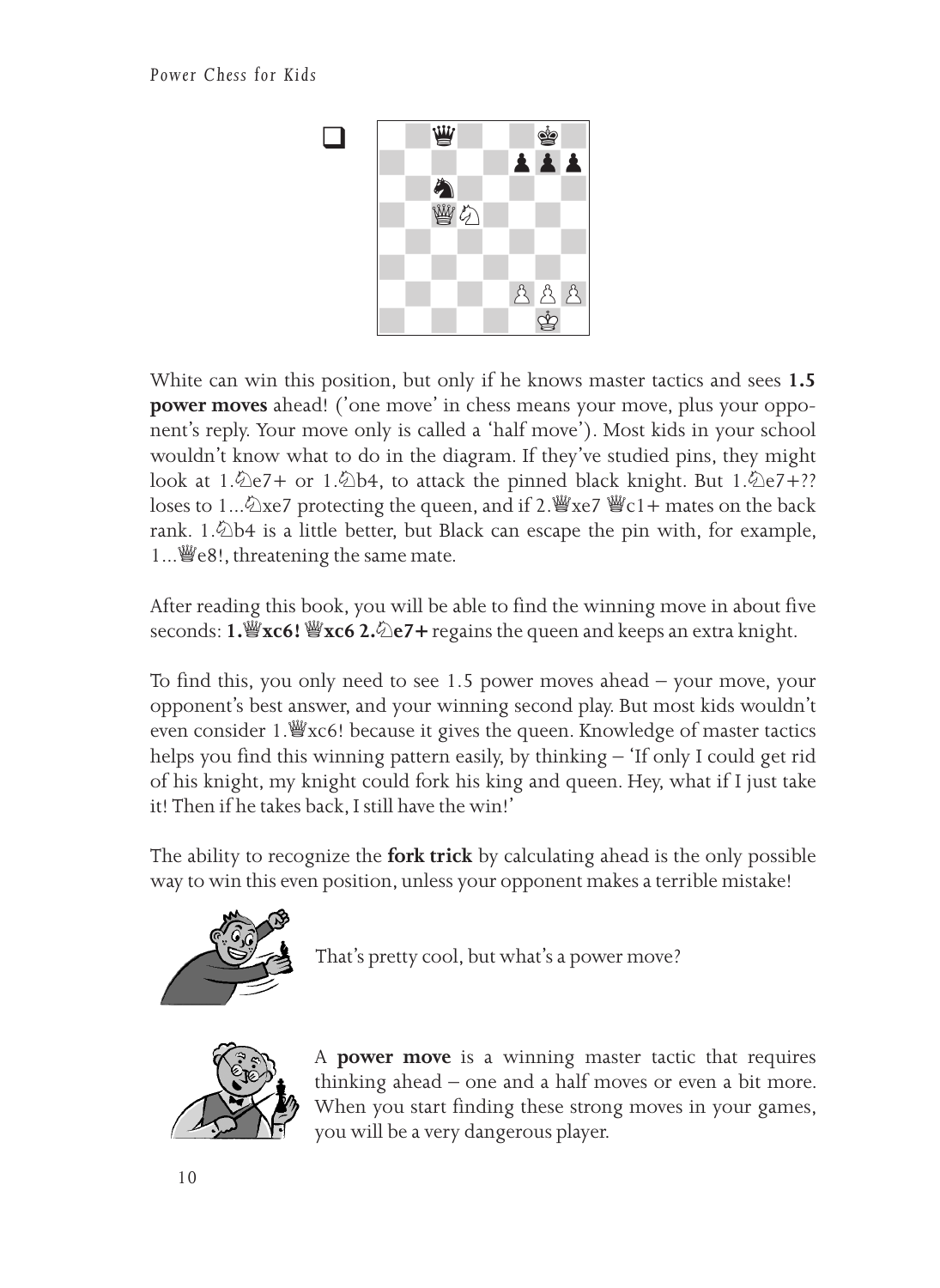

White can win this position, but only if he knows master tactics and sees 1.5 **power moves** ahead! ('one move' in chess means your move, plus your opponent's reply. Your move only is called a 'half move'). Most kids in your school wouldn't know what to do in the diagram. If they've studied pins, they might look at 1. $\triangle$ e7+ or 1. $\triangle$ b4, to attack the pinned black knight. But 1. $\triangle$ e7+?? loses to 1... $\triangle$ xe7 protecting the queen, and if 2.  $\mathcal{W}$ xe7  $\mathcal{W}$ c1+ mates on the back rank.  $1.\&0b4$  is a little better, but Black can escape the pin with, for example, 1... We8!, threatening the same mate.

After reading this book, you will be able to find the winning move in about five sec onds: **1.©xc6! ©xc6 2.Àe7+** re gains the queen and keeps an ex tra knight.

To find this, you only need to see 1.5 power moves ahead – your move, your opponent's best answer, and your winning second play. But most kids wouldn't even consider 1. Wxc6! because it gives the queen. Knowledge of master tactics helps you find this winning pattern easily, by thinking  $-$  'If only I could get rid of his knight, my knight could fork his king and queen. Hey, what if I just take it! Then if he takes back, I still have the win!'

The ability to recognize the **fork trick** by calculating ahead is the only possible way to win this even position, unless your opponent makes a terrible mistake!



That's pretty cool, but what's a power move?



A **power move** is a winning master tactic that requires thinking ahead – one and a half moves or even a bit more. When you start finding these strong moves in your games, you will be a very dangerous player.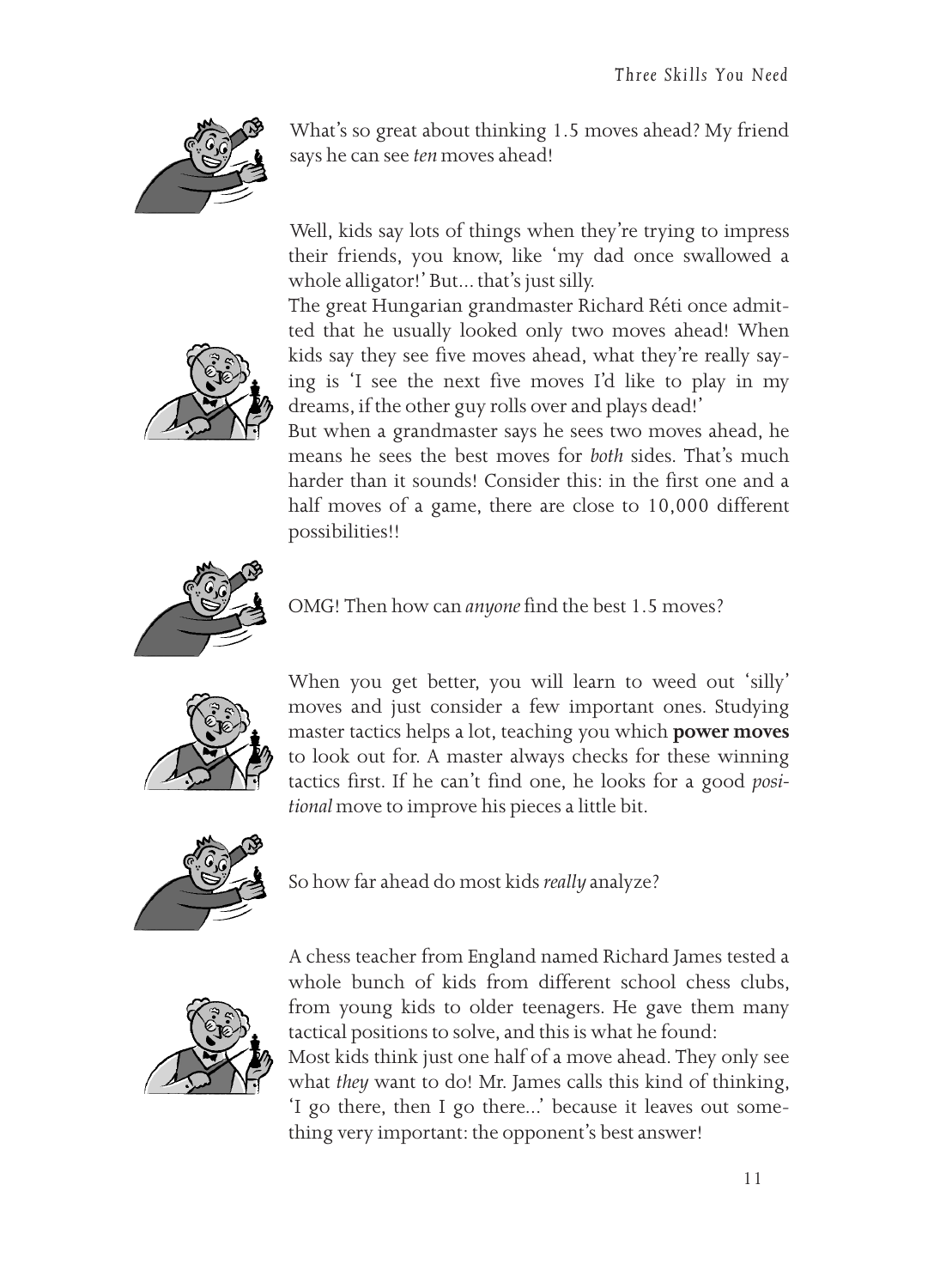

What's so great about thinking 1.5 moves ahead? My friend says he can see *ten* moves ahead!

Well, kids say lots of things when they're trying to impress their friends, you know, like 'my dad once swallowed a whole alligator!' But... that's just silly.

The great Hungarian grand master Richard Réti once admitted that he usually looked only two moves ahead! When kids say they see five moves ahead, what they're really saying is 'I see the next five moves I'd like to play in my dreams, if the other guy rolls over and plays dead!'

But when a grand master says he sees two moves ahead, he means he sees the best moves for *both* sides. That's much harder than it sounds! Consider this: in the first one and a half moves of a game, there are close to  $10,000$  different possibilities!!



OMG! Then how can *any one* find the best 1.5 moves?



When you get better, you will learn to weed out 'silly' moves and just consider a few important ones. Studying master tactics helps a lot, teaching you which **power moves** to look out for. A master always checks for these winning tactics first. If he can't find one, he looks for a good *positional* move to improve his pieces a little bit.



So how far ahead do most kids *really* analyze?



A chess teacher from England named Richard James tested a whole bunch of kids from different school chess clubs, from young kids to older teenagers. He gave them many tactical positions to solve, and this is what he found: Most kids think just one half of a move ahead. They only see

what *they* want to do! Mr. James calls this kind of thinking, 'I go there, then I go there...' because it leaves out something very important: the opponent's best answer!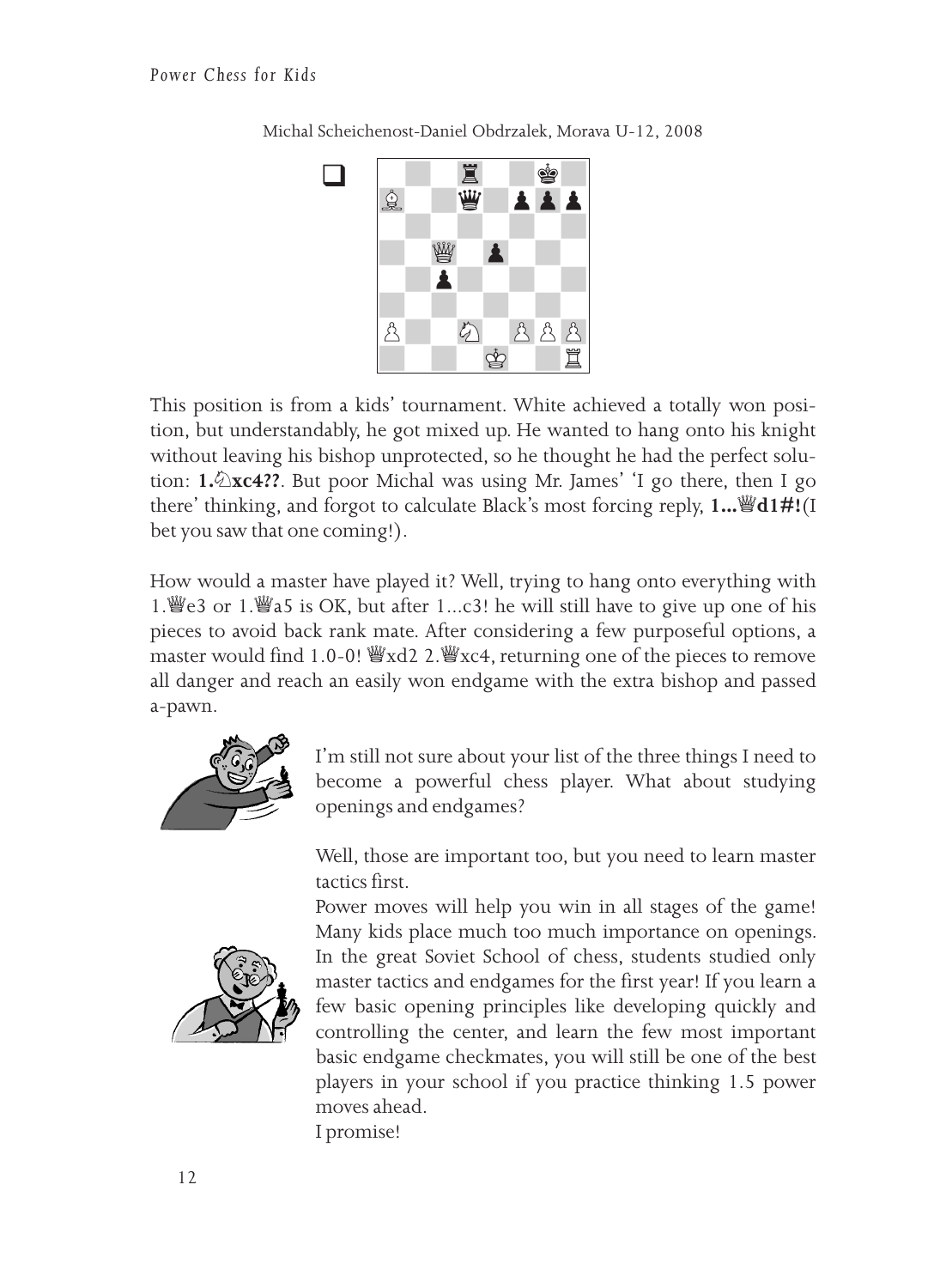

Michal Scheichenost-Daniel Obdrzalek, Morava U-12, 2008

This position is from a kids' tournament. White achieved a totally won position, but understandably, he got mixed up. He wanted to hang onto his knight without leaving his bishop unprotected, so he thought he had the perfect solution: **1.**  $\triangle$ **xc4??**. But poor Michal was using Mr. James' 'I go there, then I go there' thinking, and forgot to calculate Black's most forcing reply,  $1...$   $\ddot{w}d1\#$ ! (I bet you saw that one coming!).

How would a master have played it? Well, trying to hang onto everything with 1. We3 or 1. Wea5 is OK, but after 1...c3! he will still have to give up one of his pieces to avoid back rank mate. After considering a few purposeful options, a master would find 1.0-0!  $\mathscr{L}xd2$  2.  $\mathscr{L}xc4$ , returning one of the pieces to remove all danger and reach an easily won endgame with the extra bishop and passed a-pawn.



I'm still not sure about your list of the three things I need to become a powerful chess player. What about studying openings and endgames?

Well, those are important too, but you need to learn master tactics first.



Power moves will help you win in all stages of the game! Many kids place much too much importance on openings. In the great Soviet School of chess, students studied only master tactics and endgames for the first year! If you learn a few basic opening principles like developing quickly and controlling the center, and learn the few most important basic endgame checkmates, you will still be one of the best players in your school if you practice thinking 1.5 power moves ahead.

I promise!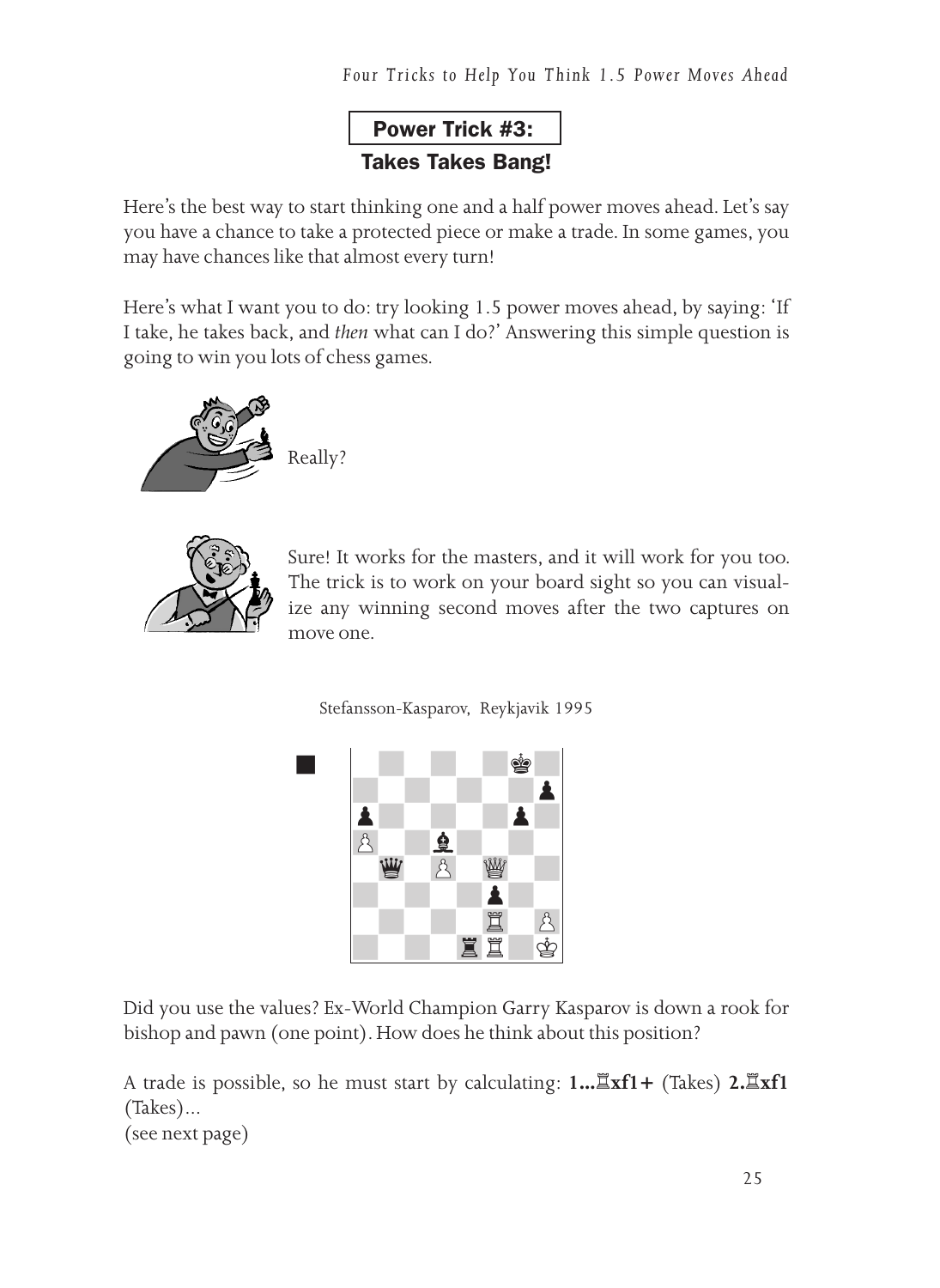## Power Trick #3: Takes Takes Bang!

Here's the best way to start thinking one and a half power moves ahead. Let's say you have a chance to take a protected piece or make a trade. In some games, you may have chances like that almost every turn!

Here's what I want you to do: try looking 1.5 power moves ahead, by saying: 'If I take, he takes back, and *then* what can I do?' Answering this simple question is going to win you lots of chess games.





Sure! It works for the masters, and it will work for you too. The trick is to work on your board sight so you can visualize any winning second moves after the two captures on move one.

Stefansson-Kasparov, Reykjavik 1995



Did you use the values? Ex-World Champion Garry Kasparov is down a rook for bishop and pawn (one point). How does he think about this position?

A trade is possible, so he must start by calculating: **1...Latexect 11 +** (Takes) **2.Late** (Takes)... (see next page)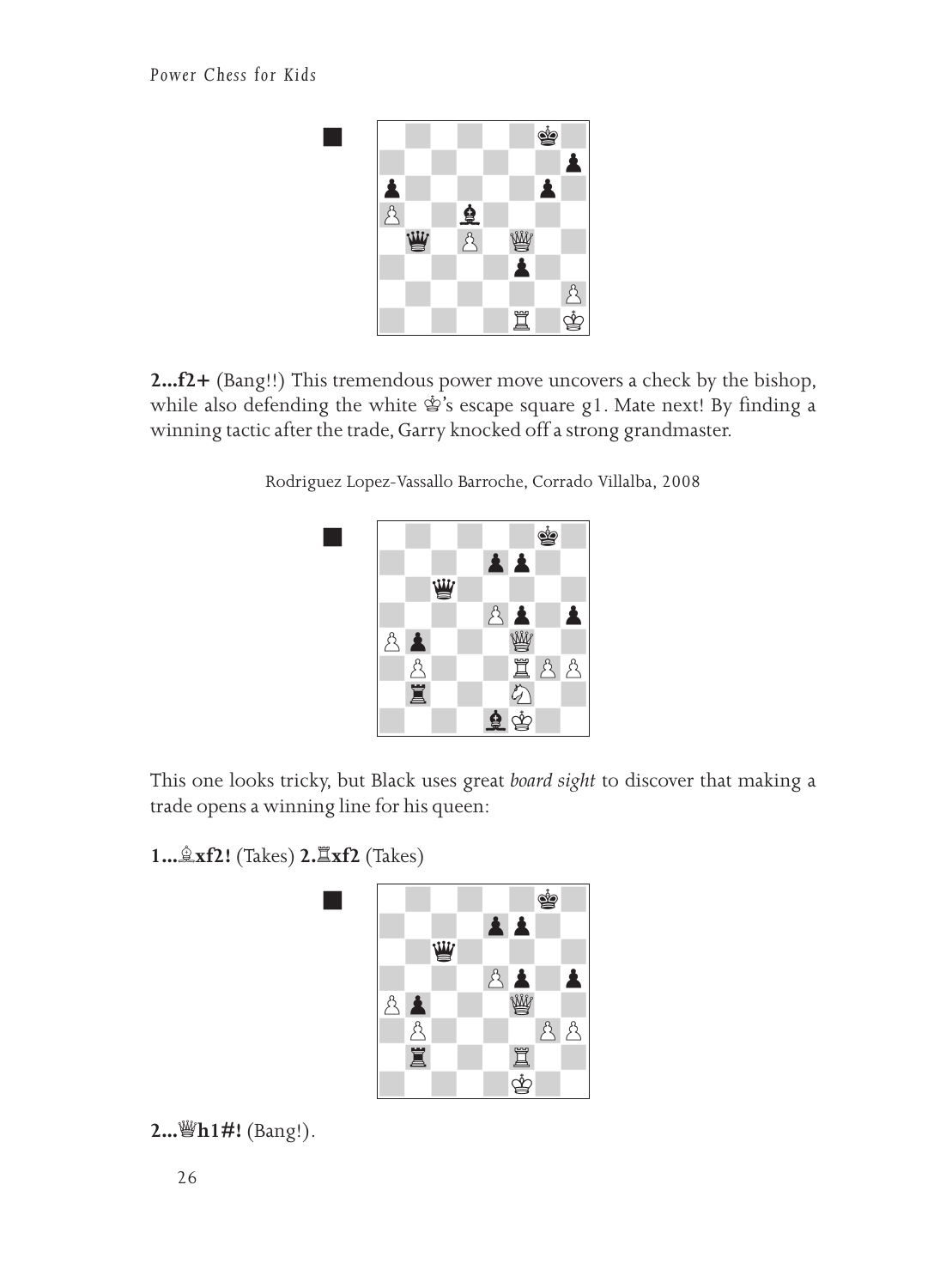

2...f2+ (Bang!!) This tremendous power move uncovers a check by the bishop, while also defending the white  $\dot{\mathfrak{B}}$ 's escape square g1. Mate next! By finding a winning tactic after the trade, Garry knocked off a strong grand master.

Rodriguez Lopez-Vassallo Barroche, Corrado Villalba, 2008



This one looks tricky, but Black uses great *board sight* to discover that making a trade opens a winning line for his queen:

#### **1...Ãxf2!** (Takes) **2.Õxf2** (Takes)



**2...©h1#!** (Bang!).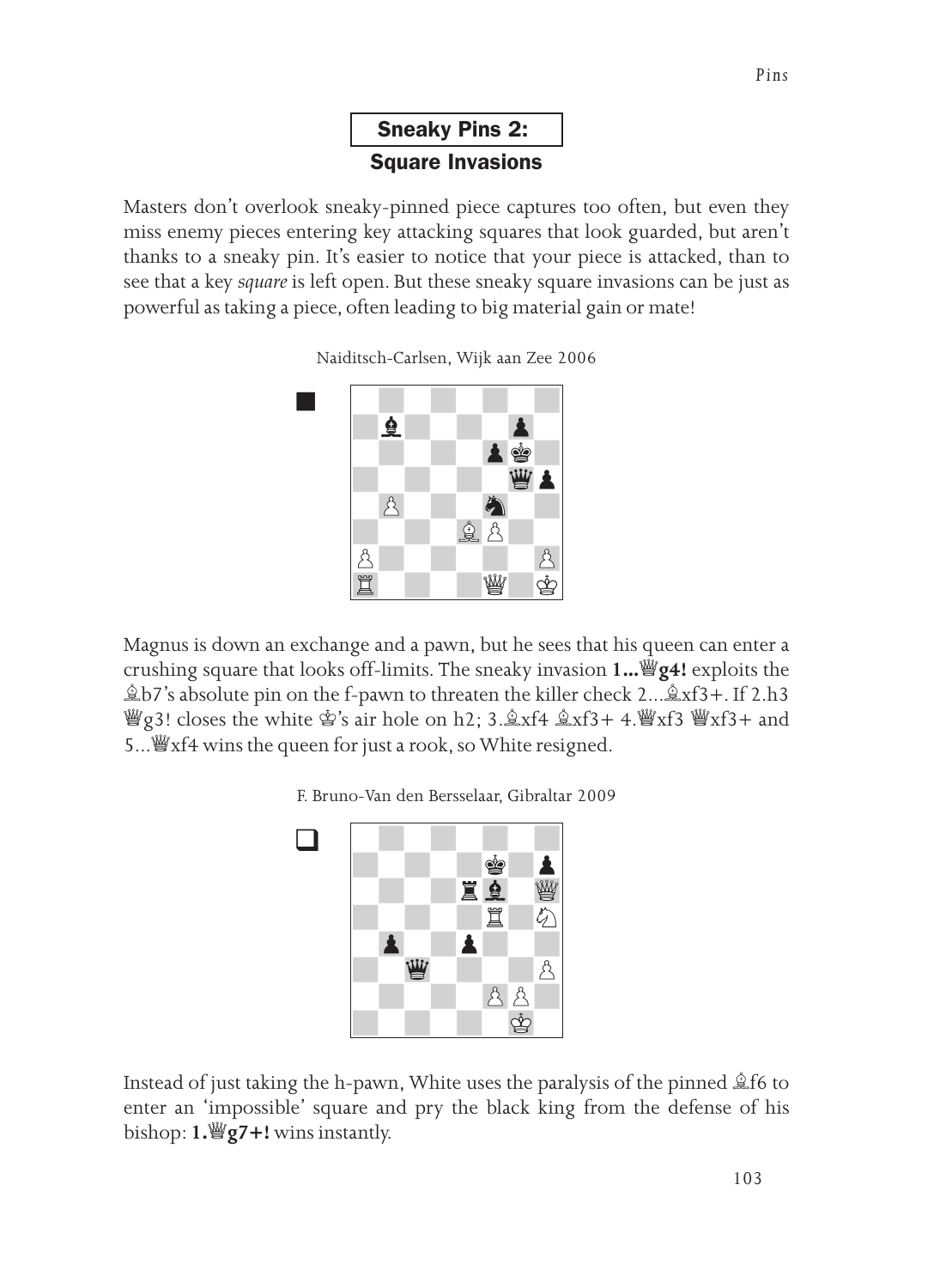### Sneaky Pins 2: **Square Invasions**

Masters don't overlook sneaky-pinned piece captures too often, but even they miss enemy pieces entering key attacking squares that look guarded, but aren't thanks to a sneaky pin. It's easier to notice that your piece is attacked, than to see that a key *square* is left open. But these sneaky square invasions can be just as powerful as taking a piece, often leading to big material gain or mate!

Naiditsch-Carlsen, Wijk aan Zee 2006



Magnus is down an exchange and a pawn, but he sees that his queen can enter a crushing square that looks off-limits. The sneaky invasion 1... **\\\\\\\\**qq{24! exploits the  $\triangle$ b7's absolute pin on the f-pawn to threaten the killer check 2... $\triangle$ xf3+. If 2.h3  $\mathscr{L}_{g3}$ ! closes the white  $\mathring{\mathscr{L}}$ 's air hole on h2; 3. $\mathring{\mathscr{L}}$ xf4  $\mathring{\mathscr{L}}$ xf3+ 4. $\mathscr{L}_{x}$ xf3  $\mathscr{L}_{x}$ xf3+ and 5... $\mathcal{W}$ xf4 wins the queen for just a rook, so White resigned.





Instead of just taking the h-pawn, White uses the paralysis of the pinned  $\&$  f6 to enter an 'impossible' square and pry the black king from the defense of his bishop: **1.©g7+!** wins in stantly.